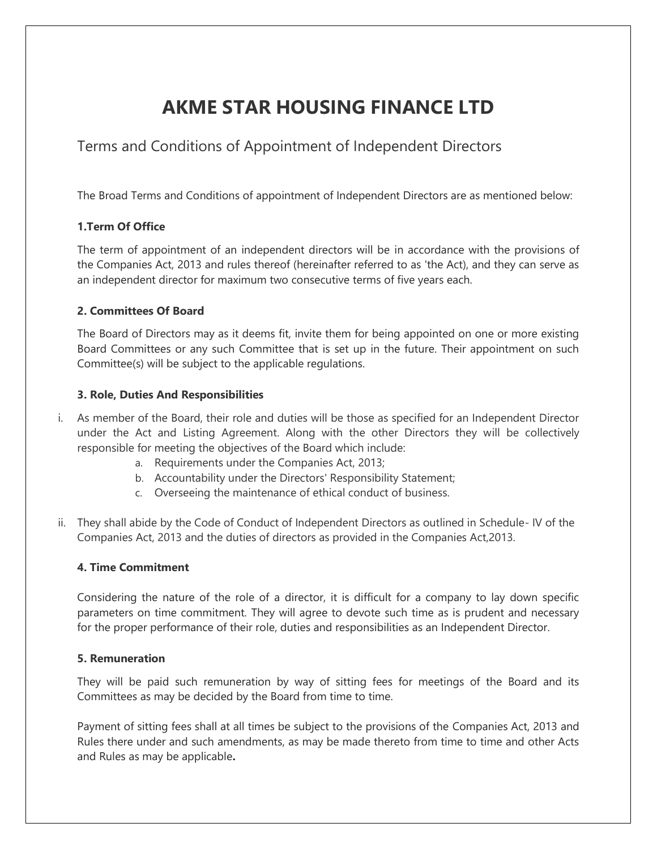# **AKME STAR HOUSING FINANCE LTD**

# Terms and Conditions of Appointment of Independent Directors

The Broad Terms and Conditions of appointment of Independent Directors are as mentioned below:

# **1.Term Of Office**

The term of appointment of an independent directors will be in accordance with the provisions of the Companies Act, 2013 and rules thereof (hereinafter referred to as 'the Act), and they can serve as an independent director for maximum two consecutive terms of five years each.

# **2. Committees Of Board**

The Board of Directors may as it deems fit, invite them for being appointed on one or more existing Board Committees or any such Committee that is set up in the future. Their appointment on such Committee(s) will be subject to the applicable regulations.

# **3. Role, Duties And Responsibilities**

- i. As member of the Board, their role and duties will be those as specified for an Independent Director under the Act and Listing Agreement. Along with the other Directors they will be collectively responsible for meeting the objectives of the Board which include:
	- a. Requirements under the Companies Act, 2013;
	- b. Accountability under the Directors' Responsibility Statement;
	- c. Overseeing the maintenance of ethical conduct of business.
- ii. They shall abide by the Code of Conduct of Independent Directors as outlined in Schedule- IV of the Companies Act, 2013 and the duties of directors as provided in the Companies Act,2013.

#### **4. Time Commitment**

Considering the nature of the role of a director, it is difficult for a company to lay down specific parameters on time commitment. They will agree to devote such time as is prudent and necessary for the proper performance of their role, duties and responsibilities as an Independent Director.

#### **5. Remuneration**

They will be paid such remuneration by way of sitting fees for meetings of the Board and its Committees as may be decided by the Board from time to time.

Payment of sitting fees shall at all times be subject to the provisions of the Companies Act, 2013 and Rules there under and such amendments, as may be made thereto from time to time and other Acts and Rules as may be applicable**.**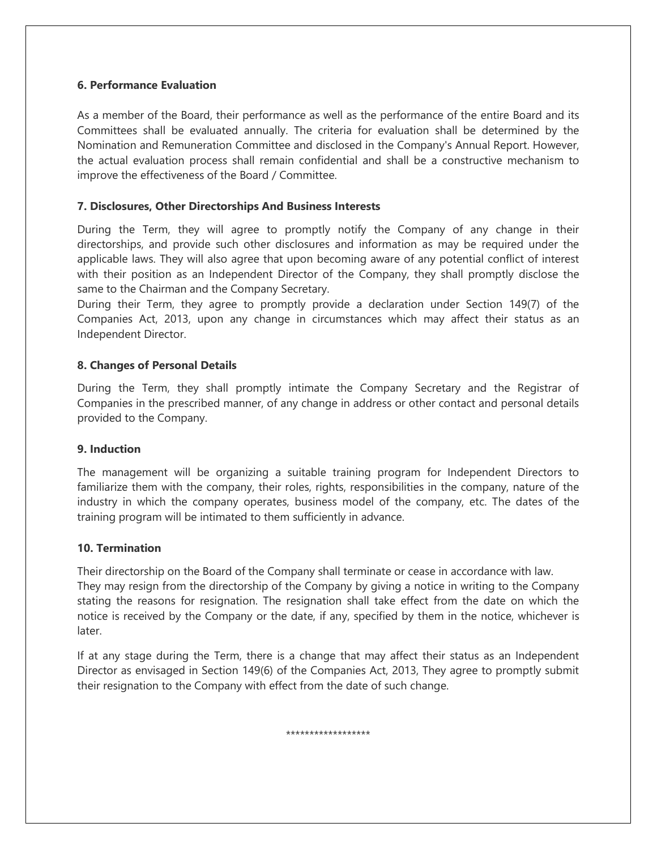#### **6. Performance Evaluation**

As a member of the Board, their performance as well as the performance of the entire Board and its Committees shall be evaluated annually. The criteria for evaluation shall be determined by the Nomination and Remuneration Committee and disclosed in the Company's Annual Report. However, the actual evaluation process shall remain confidential and shall be a constructive mechanism to improve the effectiveness of the Board / Committee.

# **7. Disclosures, Other Directorships And Business Interests**

During the Term, they will agree to promptly notify the Company of any change in their directorships, and provide such other disclosures and information as may be required under the applicable laws. They will also agree that upon becoming aware of any potential conflict of interest with their position as an Independent Director of the Company, they shall promptly disclose the same to the Chairman and the Company Secretary.

During their Term, they agree to promptly provide a declaration under Section 149(7) of the Companies Act, 2013, upon any change in circumstances which may affect their status as an Independent Director.

# **8. Changes of Personal Details**

During the Term, they shall promptly intimate the Company Secretary and the Registrar of Companies in the prescribed manner, of any change in address or other contact and personal details provided to the Company.

#### **9. Induction**

The management will be organizing a suitable training program for Independent Directors to familiarize them with the company, their roles, rights, responsibilities in the company, nature of the industry in which the company operates, business model of the company, etc. The dates of the training program will be intimated to them sufficiently in advance.

#### **10. Termination**

Their directorship on the Board of the Company shall terminate or cease in accordance with law. They may resign from the directorship of the Company by giving a notice in writing to the Company stating the reasons for resignation. The resignation shall take effect from the date on which the notice is received by the Company or the date, if any, specified by them in the notice, whichever is later.

If at any stage during the Term, there is a change that may affect their status as an Independent Director as envisaged in Section 149(6) of the Companies Act, 2013, They agree to promptly submit their resignation to the Company with effect from the date of such change.

\*\*\*\*\*\*\*\*\*\*\*\*\*\*\*\*\*\*